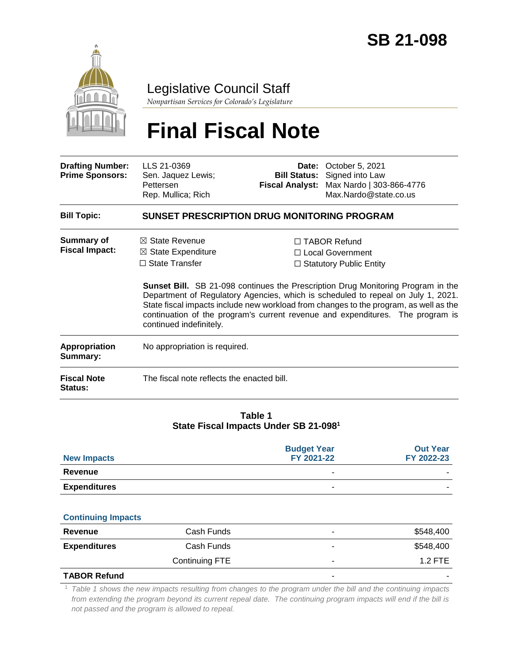

## Legislative Council Staff

*Nonpartisan Services for Colorado's Legislature*

# **Final Fiscal Note**

| <b>Drafting Number:</b><br><b>Prime Sponsors:</b> | LLS 21-0369<br>Sen. Jaquez Lewis;<br>Pettersen<br>Rep. Mullica; Rich                                                                                                                                                                                                                                                                                                              | <b>Fiscal Analyst:</b> | <b>Date:</b> October 5, 2021<br><b>Bill Status:</b> Signed into Law<br>Max Nardo   303-866-4776<br>Max.Nardo@state.co.us |  |  |
|---------------------------------------------------|-----------------------------------------------------------------------------------------------------------------------------------------------------------------------------------------------------------------------------------------------------------------------------------------------------------------------------------------------------------------------------------|------------------------|--------------------------------------------------------------------------------------------------------------------------|--|--|
| <b>Bill Topic:</b>                                | SUNSET PRESCRIPTION DRUG MONITORING PROGRAM                                                                                                                                                                                                                                                                                                                                       |                        |                                                                                                                          |  |  |
| Summary of<br><b>Fiscal Impact:</b>               | $\boxtimes$ State Revenue<br>$\boxtimes$ State Expenditure<br>$\Box$ State Transfer                                                                                                                                                                                                                                                                                               |                        | $\Box$ TABOR Refund<br>□ Local Government<br>$\Box$ Statutory Public Entity                                              |  |  |
|                                                   | <b>Sunset Bill.</b> SB 21-098 continues the Prescription Drug Monitoring Program in the<br>Department of Regulatory Agencies, which is scheduled to repeal on July 1, 2021.<br>State fiscal impacts include new workload from changes to the program, as well as the<br>continuation of the program's current revenue and expenditures. The program is<br>continued indefinitely. |                        |                                                                                                                          |  |  |
| <b>Appropriation</b><br>Summary:                  | No appropriation is required.                                                                                                                                                                                                                                                                                                                                                     |                        |                                                                                                                          |  |  |
| <b>Fiscal Note</b><br><b>Status:</b>              | The fiscal note reflects the enacted bill.                                                                                                                                                                                                                                                                                                                                        |                        |                                                                                                                          |  |  |

#### **Table 1 State Fiscal Impacts Under SB 21-098<sup>1</sup>**

| <b>New Impacts</b>  | <b>Budget Year</b><br>FY 2021-22 | <b>Out Year</b><br>FY 2022-23 |
|---------------------|----------------------------------|-------------------------------|
| Revenue             | -                                | -                             |
| <b>Expenditures</b> | -                                | -                             |

#### **Continuing Impacts**

| Revenue             | Cash Funds     |   | \$548,400                |
|---------------------|----------------|---|--------------------------|
| <b>Expenditures</b> | Cash Funds     | - | \$548,400                |
|                     | Continuing FTE |   | $1.2$ FTE                |
| <b>TABOR Refund</b> |                |   | $\overline{\phantom{a}}$ |

<sup>1</sup> *Table 1 shows the new impacts resulting from changes to the program under the bill and the continuing impacts from extending the program beyond its current repeal date. The continuing program impacts will end if the bill is not passed and the program is allowed to repeal.*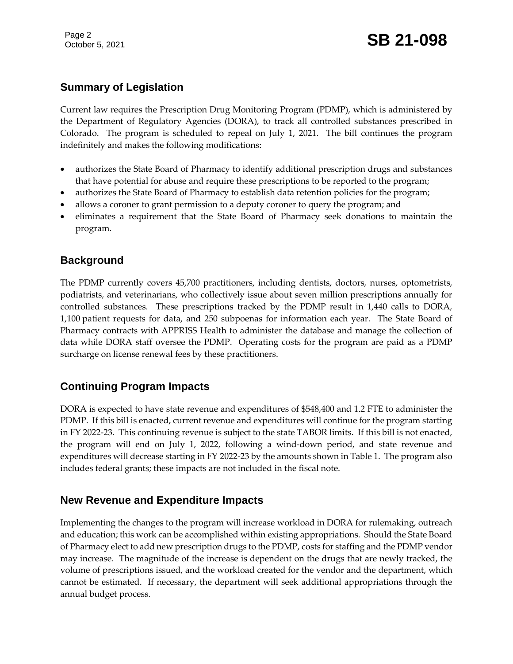## **Summary of Legislation**

Current law requires the Prescription Drug Monitoring Program (PDMP), which is administered by the Department of Regulatory Agencies (DORA), to track all controlled substances prescribed in Colorado. The program is scheduled to repeal on July 1, 2021. The bill continues the program indefinitely and makes the following modifications:

- authorizes the State Board of Pharmacy to identify additional prescription drugs and substances that have potential for abuse and require these prescriptions to be reported to the program;
- authorizes the State Board of Pharmacy to establish data retention policies for the program;
- allows a coroner to grant permission to a deputy coroner to query the program; and
- eliminates a requirement that the State Board of Pharmacy seek donations to maintain the program.

#### **Background**

The PDMP currently covers 45,700 practitioners, including dentists, doctors, nurses, optometrists, podiatrists, and veterinarians, who collectively issue about seven million prescriptions annually for controlled substances. These prescriptions tracked by the PDMP result in 1,440 calls to DORA, 1,100 patient requests for data, and 250 subpoenas for information each year. The State Board of Pharmacy contracts with APPRISS Health to administer the database and manage the collection of data while DORA staff oversee the PDMP. Operating costs for the program are paid as a PDMP surcharge on license renewal fees by these practitioners.

### **Continuing Program Impacts**

DORA is expected to have state revenue and expenditures of \$548,400 and 1.2 FTE to administer the PDMP. If this bill is enacted, current revenue and expenditures will continue for the program starting in FY 2022-23. This continuing revenue is subject to the state TABOR limits. If this bill is not enacted, the program will end on July 1, 2022, following a wind-down period, and state revenue and expenditures will decrease starting in FY 2022-23 by the amounts shown in Table 1. The program also includes federal grants; these impacts are not included in the fiscal note.

#### **New Revenue and Expenditure Impacts**

Implementing the changes to the program will increase workload in DORA for rulemaking, outreach and education; this work can be accomplished within existing appropriations. Should the State Board of Pharmacy elect to add new prescription drugs to the PDMP, costs for staffing and the PDMP vendor may increase. The magnitude of the increase is dependent on the drugs that are newly tracked, the volume of prescriptions issued, and the workload created for the vendor and the department, which cannot be estimated. If necessary, the department will seek additional appropriations through the annual budget process.